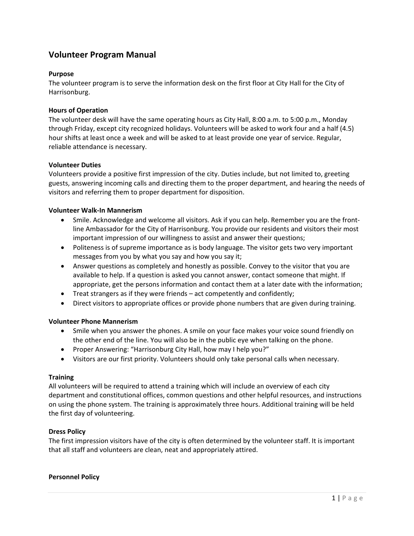# **Volunteer Program Manual**

# **Purpose**

The volunteer program is to serve the information desk on the first floor at City Hall for the City of Harrisonburg.

## **Hours of Operation**

The volunteer desk will have the same operating hours as City Hall, 8:00 a.m. to 5:00 p.m., Monday through Friday, except city recognized holidays. Volunteers will be asked to work four and a half (4.5) hour shifts at least once a week and will be asked to at least provide one year of service. Regular, reliable attendance is necessary.

### **Volunteer Duties**

Volunteers provide a positive first impression of the city. Duties include, but not limited to, greeting guests, answering incoming calls and directing them to the proper department, and hearing the needs of visitors and referring them to proper department for disposition.

# **Volunteer Walk‐In Mannerism**

- Smile. Acknowledge and welcome all visitors. Ask if you can help. Remember you are the frontline Ambassador for the City of Harrisonburg. You provide our residents and visitors their most important impression of our willingness to assist and answer their questions;
- Politeness is of supreme importance as is body language. The visitor gets two very important messages from you by what you say and how you say it;
- Answer questions as completely and honestly as possible. Convey to the visitor that you are available to help. If a question is asked you cannot answer, contact someone that might. If appropriate, get the persons information and contact them at a later date with the information;
- Treat strangers as if they were friends act competently and confidently;
- Direct visitors to appropriate offices or provide phone numbers that are given during training.

### **Volunteer Phone Mannerism**

- Smile when you answer the phones. A smile on your face makes your voice sound friendly on the other end of the line. You will also be in the public eye when talking on the phone.
- Proper Answering: "Harrisonburg City Hall, how may I help you?"
- Visitors are our first priority. Volunteers should only take personal calls when necessary.

### **Training**

All volunteers will be required to attend a training which will include an overview of each city department and constitutional offices, common questions and other helpful resources, and instructions on using the phone system. The training is approximately three hours. Additional training will be held the first day of volunteering.

### **Dress Policy**

The first impression visitors have of the city is often determined by the volunteer staff. It is important that all staff and volunteers are clean, neat and appropriately attired.

### **Personnel Policy**